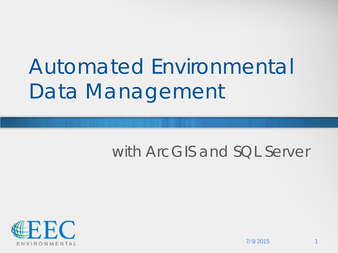# Automated Environmental Data Management

#### with ArcGIS and SQL Server

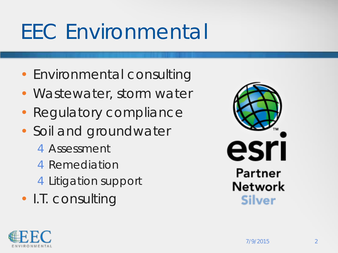### EEC Environmental

- Environmental consulting
- Wastewater, storm water
- Regulatory compliance
- Soil and groundwater
	- 4Assessment
	- 4Remediation
	- 4Litigation support
- I.T. consulting



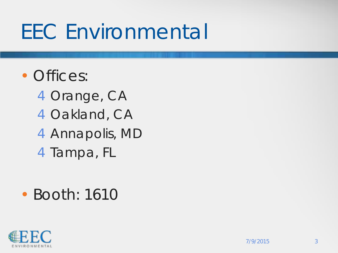#### EEC Environmental

#### • Offices:

Orange, CA Oakland, CA Annapolis, MD 4Tampa, FL

#### • Booth: 1610

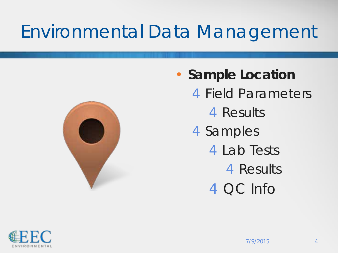#### Environmental Data Management



• **Sample Location** Field Parameters Results Samples Lab Tests Results QC Info

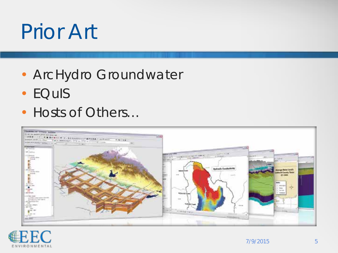## Prior Art

- ArcHydro Groundwater
- EQuIS
- Hosts of Others...



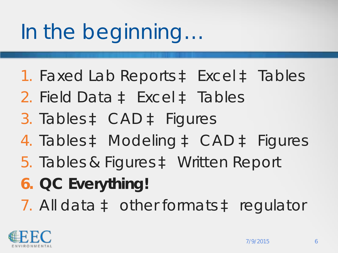# In the beginning…

- 1. Faxed Lab Reports à Excel à Tables 2. Field Data à Excel à Tables 3. Tables à CAD à Figures 4. Tables à Modeling à CAD à Figures 5. Tables & Figures à Written Report
- **6. QC Everything!**
- 7. All data à other formats à regulator

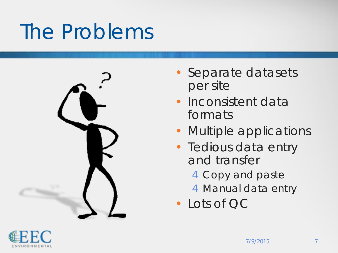### The Problems



- Separate datasets per site
- Inconsistent data formats
- Multiple applications
- Tedious data entry and transfer
	- 4Copy and paste
	- 4 Manual data entry

• Lots of QC

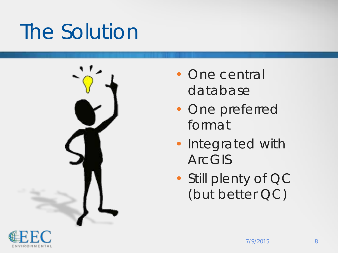### The Solution



- One central database
- One preferred format
- Integrated with ArcGIS
- Still plenty of QC (but better QC)

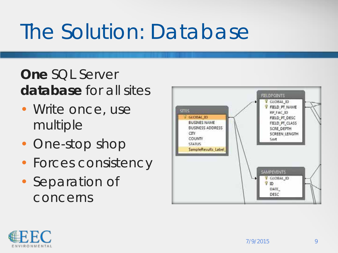### The Solution: Database

#### **One** SQL Server **database** for all sites

- Write once, use multiple
- One-stop shop
- Forces consistency
- Separation of concerns



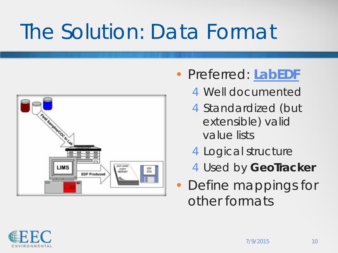### The Solution: Data Format



- Preferred: **[LabEDF](http://www.edfdata.com/home.html)**
	- 4Well documented
	- 4 Standardized (but extensible) valid value lists
	- 4Logical structure
	- 4Used by **GeoTracker**
- Define mappings for other formats

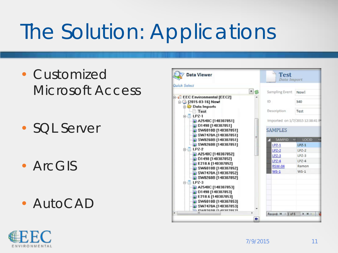## The Solution: Applications

- Customized Microsoft Access
- SQL Server
- ArcGIS
- AutoCAD



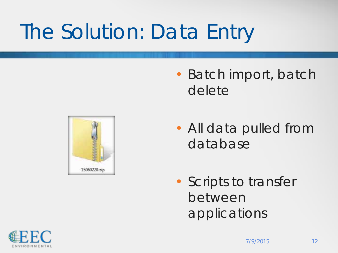## The Solution: Data Entry

• Batch import, batch delete



- All data pulled from database
- Scripts to transfer between applications

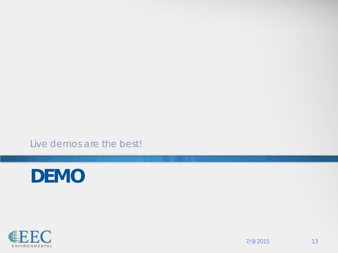Live demos are the best!



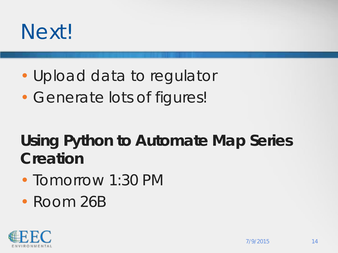#### Next!

- Upload data to regulator
- Generate lots of figures!

#### *Using Python to Automate Map Series Creation*

- Tomorrow 1:30 PM
- Room 26B

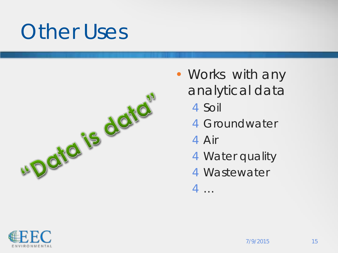#### Other Uses



- Works with any analytical data
	- 4Soil
	- 4Groundwater
	- 4Air
	- **4** Water quality
	- 4Wastewater
	- 4…

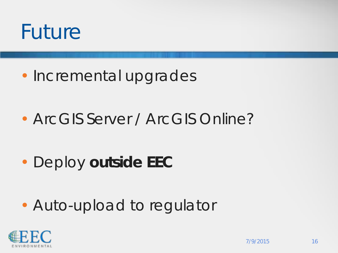

- Incremental upgrades
- ArcGIS Server / ArcGIS Online?

• Deploy **outside EEC**

• Auto-upload to regulator

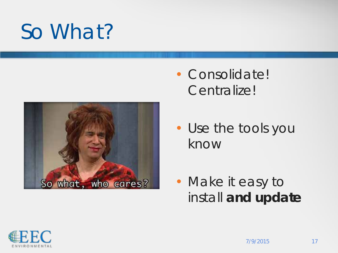#### So What?



- Consolidate! Centralize!
- Use the tools you know
- Make it easy to install **and update**